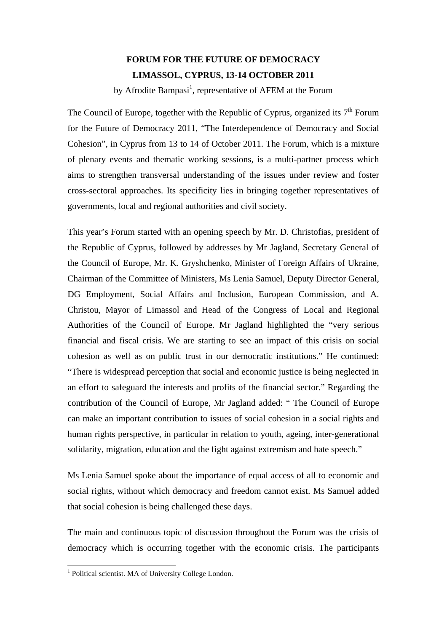## **FORUM FOR THE FUTURE OF DEMOCRACY LIMASSOL, CYPRUS, 13-14 OCTOBER 2011**

by Afrodite Bampasi<sup>1</sup>, representative of AFEM at the Forum

The Council of Europe, together with the Republic of Cyprus, organized its  $7<sup>th</sup>$  Forum for the Future of Democracy 2011, "The Interdependence of Democracy and Social Cohesion", in Cyprus from 13 to 14 of October 2011. The Forum, which is a mixture of plenary events and thematic working sessions, is a multi-partner process which aims to strengthen transversal understanding of the issues under review and foster cross-sectoral approaches. Its specificity lies in bringing together representatives of governments, local and regional authorities and civil society.

This year's Forum started with an opening speech by Mr. D. Christofias, president of the Republic of Cyprus, followed by addresses by Mr Jagland, Secretary General of the Council of Europe, Mr. K. Gryshchenko, Minister of Foreign Affairs of Ukraine, Chairman of the Committee of Ministers, Ms Lenia Samuel, Deputy Director General, DG Employment, Social Affairs and Inclusion, European Commission, and A. Christou, Mayor of Limassol and Head of the Congress of Local and Regional Authorities of the Council of Europe. Mr Jagland highlighted the "very serious financial and fiscal crisis. We are starting to see an impact of this crisis on social cohesion as well as on public trust in our democratic institutions." He continued: "There is widespread perception that social and economic justice is being neglected in an effort to safeguard the interests and profits of the financial sector." Regarding the contribution of the Council of Europe, Mr Jagland added: " The Council of Europe can make an important contribution to issues of social cohesion in a social rights and human rights perspective, in particular in relation to youth, ageing, inter-generational solidarity, migration, education and the fight against extremism and hate speech."

Ms Lenia Samuel spoke about the importance of equal access of all to economic and social rights, without which democracy and freedom cannot exist. Ms Samuel added that social cohesion is being challenged these days.

The main and continuous topic of discussion throughout the Forum was the crisis of democracy which is occurring together with the economic crisis. The participants

 1 Political scientist. MA of University College London.